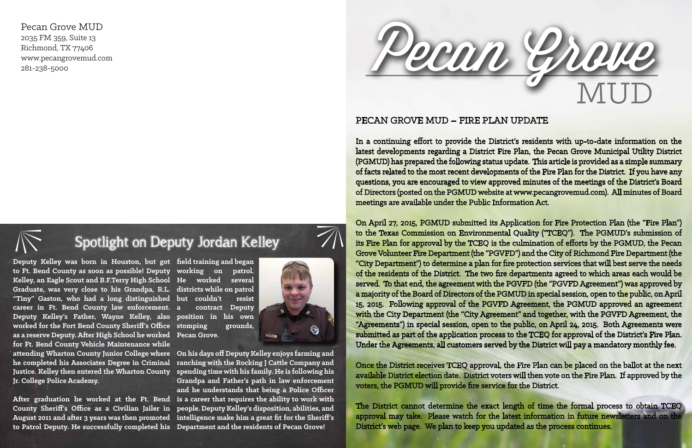## Spotlight on Deputy Jordan Kelley **Spotlight on Deputy Jordan Ke**<br>
Deputy Kelley was born in Houston, but got field training and began

**to Ft. Bend County as soon as possible! Deputy working on patrol. Kelley, an Eagle Scout and B.F.Terry High School He worked several Graduate, was very close to his Grandpa, R.L. districts while on patrol "Tiny" Gaston, who had a long distinguished but couldn't resist career in Ft. Bend County law enforcement. Deputy Kelley's Father, Wayne Kelley, also position in his own worked for the Fort Bend County Sheriff's Office stomping grounds, as a reserve Deputy. After High School he worked Pecan Grove. for Ft. Bend County Vehicle Maintenance while attending Wharton County Junior College where On his days off Deputy Kelley enjoys farming and he completed his Associates Degree in Criminal ranching with the Rocking J Cattle Company and Justice. Kelley then entered the Wharton County spending time with his family. He is following his Jr. College Police Academy.** 

**a contract Deputy** 

**After graduation he worked at the Ft. Bend is a career that requires the ability to work with County Sheriff's Office as a Civilian Jailer in people. Deputy Kelley's disposition, abilities, and August 2011 and after 3 years was then promoted intelligence make him a great fit for the Sheriff's to Patrol Deputy. He successfully completed his Department and the residents of Pecan Grove!** 

**Grandpa and Father's path in law enforcement and he understands that being a Police Officer** 



## PECAN GROVE MUD – FIRE PLAN UPDATE

In a continuing effort to provide the District's residents with up-to-date information on the latest developments regarding a District Fire Plan, the Pecan Grove Municipal Utility District (PGMUD) has prepared the following status update. This article is provided as a simple summary of facts related to the most recent developments of the Fire Plan for the District. If you have any questions, you are encouraged to view approved minutes of the meetings of the District's Board of Directors (posted on the PGMUD website at www.pecangrovemud.com). All minutes of Board meetings are available under the Public Information Act.



On April 27, 2015, PGMUD submitted its Application for Fire Protection Plan (the "Fire Plan") to the Texas Commission on Environmental Quality ("TCEQ"). The PGMUD's submission of its Fire Plan for approval by the TCEQ is the culmination of efforts by the PGMUD, the Pecan Grove Volunteer Fire Department (the "PGVFD") and the City of Richmond Fire Department (the "City Department") to determine a plan for fire protection services that will best serve the needs of the residents of the District. The two fire departments agreed to which areas each would be served. To that end, the agreement with the PGVFD (the "PGVFD Agreement") was approved by a majority of the Board of Directors of the PGMUD in special session, open to the public, on April 15, 2015. Following approval of the PGVFD Agreement, the PGMUD approved an agreement with the City Department (the "City Agreement" and together, with the PGVFD Agreement, the "Agreements") in special session, open to the public, on April 24, 2015. Both Agreements were submitted as part of the application process to the TCEQ for approval of the District's Fire Plan. Under the Agreements, all customers served by the District will pay a mandatory monthly fee.

Once the District receives TCEQ approval, the Fire Plan can be placed on the ballot at the next available District election date. District voters will then vote on the Fire Plan. If approved by the voters, the PGMUD will provide fire service for the District.

The District cannot determine the exact length of time the formal process to obtain TCEQ approval may take. Please watch for the latest information in future newsletters and on the District's web page. We plan to keep you updated as the process continues.

Pecan Grove MUD 2035 FM 359, Suite 13 Richmond, TX 77406 www.pecangrovemud.com 281-238-5000